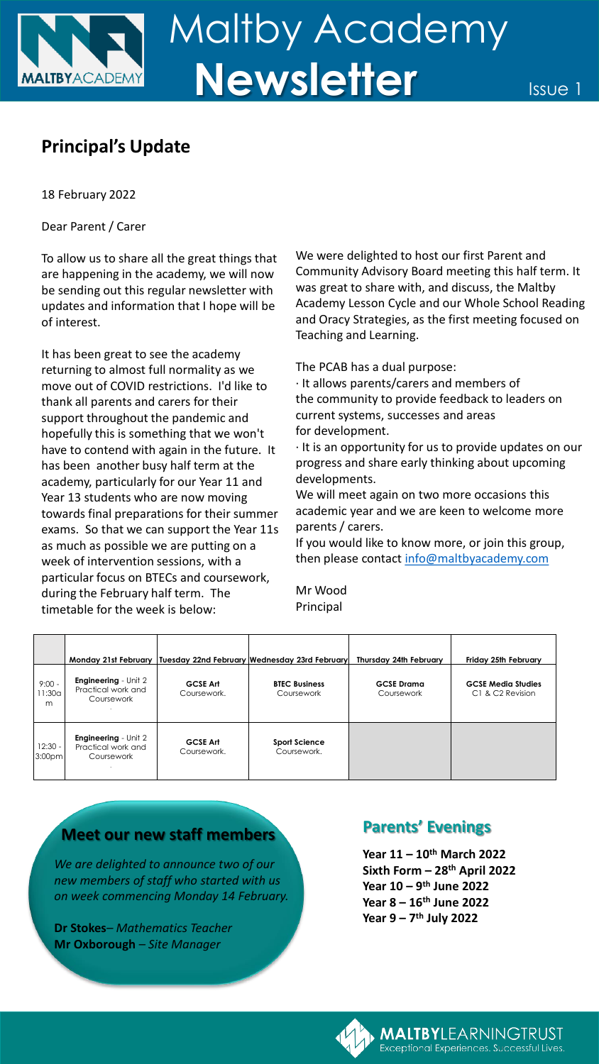## **Principal's Update**

18 February 2022

Dear Parent / Carer

To allow us to share all the great things that are happening in the academy, we will now be sending out this regular newsletter with updates and information that I hope will be of interest.

It has been great to see the academy returning to almost full normality as we move out of COVID restrictions. I'd like to thank all parents and carers for their support throughout the pandemic and hopefully this is something that we won't have to contend with again in the future. It has been another busy half term at the academy, particularly for our Year 11 and Year 13 students who are now moving towards final preparations for their summer exams. So that we can support the Year 11s as much as possible we are putting on a week of intervention sessions, with a particular focus on BTECs and coursework, during the February half term. The timetable for the week is below:

We were delighted to host our first Parent and Community Advisory Board meeting this half term. It was great to share with, and discuss, the Maltby Academy Lesson Cycle and our Whole School Reading and Oracy Strategies, as the first meeting focused on Teaching and Learning.

The PCAB has a dual purpose:

· It allows parents/carers and members of the community to provide feedback to leaders on current systems, successes and areas for development.

· It is an opportunity for us to provide updates on our progress and share early thinking about upcoming developments.

We will meet again on two more occasions this academic year and we are keen to welcome more parents / carers.

If you would like to know more, or join this group, then please contact [info@maltbyacademy.com](mailto:info@maltbyacademy.com)

Mr Wood Principal

|                                 | Monday 21st February                                            |                                | Tuesday 22nd February Wednesday 23rd February | Thursday 24th February          | Friday 25th February                          |
|---------------------------------|-----------------------------------------------------------------|--------------------------------|-----------------------------------------------|---------------------------------|-----------------------------------------------|
| $9:00 -$<br>11:30a<br>m         | <b>Engineering</b> - Unit 2<br>Practical work and<br>Coursework | <b>GCSE Art</b><br>Coursework. | <b>BTEC Business</b><br>Coursework            | <b>GCSE</b> Drama<br>Coursework | <b>GCSE Media Studies</b><br>C1 & C2 Revision |
| $12:30 -$<br>3:00 <sub>pm</sub> | <b>Engineering</b> - Unit 2<br>Practical work and<br>Coursework | <b>GCSE Art</b><br>Coursework. | <b>Sport Science</b><br>Coursework.           |                                 |                                               |

## **Meet our new staff members**

*We are delighted to announce two of our new members of staff who started with us on week commencing Monday 14 February.*

**Dr Stokes***– Mathematics Teacher* **Mr Oxborough** *– Site Manager* 

## **Parents' Evenings**

**Year 11 – 10th March 2022 Sixth Form – 28th April 2022 Year 10 – 9 th June 2022 Year 8 – 16th June 2022 Year 9 – 7 th July 2022**